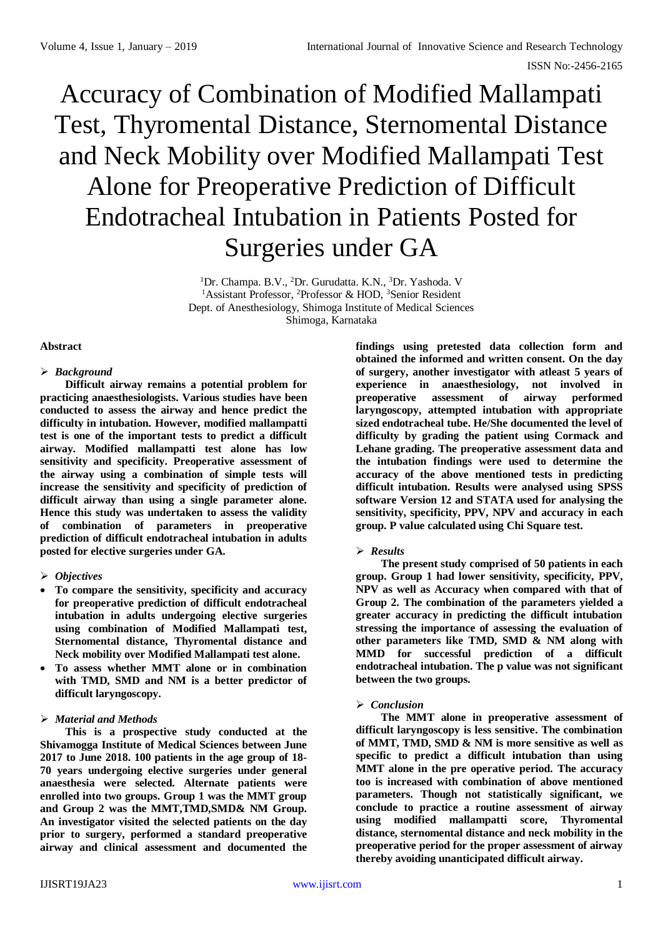# Accuracy of Combination of Modified Mallampati Test, Thyromental Distance, Sternomental Distance and Neck Mobility over Modified Mallampati Test Alone for Preoperative Prediction of Difficult Endotracheal Intubation in Patients Posted for Surgeries under GA

<sup>1</sup>Dr. Champa. B.V., <sup>2</sup>Dr. Gurudatta. K.N., <sup>3</sup>Dr. Yashoda. V <sup>1</sup>Assistant Professor, <sup>2</sup>Professor & HOD, <sup>3</sup>Senior Resident Dept. of Anesthesiology, Shimoga Institute of Medical Sciences Shimoga, Karnataka

# **Abstract**

# *Background*

**Difficult airway remains a potential problem for practicing anaesthesiologists. Various studies have been conducted to assess the airway and hence predict the difficulty in intubation. However, modified mallampatti test is one of the important tests to predict a difficult airway. Modified mallampatti test alone has low sensitivity and specificity. Preoperative assessment of the airway using a combination of simple tests will increase the sensitivity and specificity of prediction of difficult airway than using a single parameter alone. Hence this study was undertaken to assess the validity of combination of parameters in preoperative prediction of difficult endotracheal intubation in adults posted for elective surgeries under GA.** 

# *Objectives*

- **To compare the sensitivity, specificity and accuracy for preoperative prediction of difficult endotracheal intubation in adults undergoing elective surgeries using combination of Modified Mallampati test, Sternomental distance, Thyromental distance and Neck mobility over Modified Mallampati test alone.**
- **To assess whether MMT alone or in combination with TMD, SMD and NM is a better predictor of difficult laryngoscopy.**

# *Material and Methods*

**This is a prospective study conducted at the Shivamogga Institute of Medical Sciences between June 2017 to June 2018. 100 patients in the age group of 18- 70 years undergoing elective surgeries under general anaesthesia were selected. Alternate patients were enrolled into two groups. Group 1 was the MMT group and Group 2 was the MMT,TMD,SMD& NM Group. An investigator visited the selected patients on the day prior to surgery, performed a standard preoperative airway and clinical assessment and documented the** 

**findings using pretested data collection form and obtained the informed and written consent. On the day of surgery, another investigator with atleast 5 years of experience in anaesthesiology, not involved in preoperative assessment of airway performed laryngoscopy, attempted intubation with appropriate sized endotracheal tube. He/She documented the level of difficulty by grading the patient using Cormack and Lehane grading. The preoperative assessment data and the intubation findings were used to determine the accuracy of the above mentioned tests in predicting difficult intubation. Results were analysed using SPSS software Version 12 and STATA used for analysing the sensitivity, specificity, PPV, NPV and accuracy in each group. P value calculated using Chi Square test.**

# *Results*

**The present study comprised of 50 patients in each group. Group 1 had lower sensitivity, specificity, PPV, NPV as well as Accuracy when compared with that of Group 2. The combination of the parameters yielded a greater accuracy in predicting the difficult intubation stressing the importance of assessing the evaluation of other parameters like TMD, SMD & NM along with MMD for successful prediction of a difficult endotracheal intubation. The p value was not significant between the two groups.**

# *Conclusion*

**The MMT alone in preoperative assessment of difficult laryngoscopy is less sensitive. The combination of MMT, TMD, SMD & NM is more sensitive as well as specific to predict a difficult intubation than using MMT alone in the pre operative period. The accuracy too is increased with combination of above mentioned parameters. Though not statistically significant, we conclude to practice a routine assessment of airway using modified mallampatti score, Thyromental distance, sternomental distance and neck mobility in the preoperative period for the proper assessment of airway thereby avoiding unanticipated difficult airway.**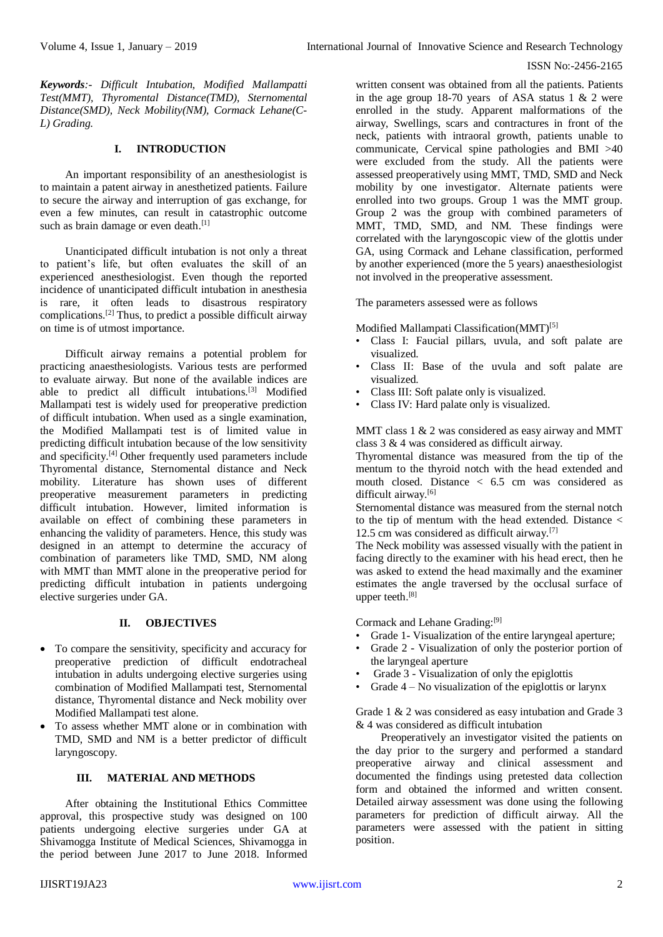#### ISSN No:-2456-2165

*Keywords:- Difficult Intubation, Modified Mallampatti Test(MMT), Thyromental Distance(TMD), Sternomental Distance(SMD), Neck Mobility(NM), Cormack Lehane(C-L) Grading.*

# **I. INTRODUCTION**

An important responsibility of an anesthesiologist is to maintain a patent airway in anesthetized patients. Failure to secure the airway and interruption of gas exchange, for even a few minutes, can result in catastrophic outcome such as brain damage or even death.<sup>[1]</sup>

Unanticipated difficult intubation is not only a threat to patient's life, but often evaluates the skill of an experienced anesthesiologist. Even though the reported incidence of unanticipated difficult intubation in anesthesia is rare, it often leads to disastrous respiratory complications.[2] Thus, to predict a possible difficult airway on time is of utmost importance.

Difficult airway remains a potential problem for practicing anaesthesiologists. Various tests are performed to evaluate airway. But none of the available indices are able to predict all difficult intubations.[3] Modified Mallampati test is widely used for preoperative prediction of difficult intubation. When used as a single examination, the Modified Mallampati test is of limited value in predicting difficult intubation because of the low sensitivity and specificity.<sup>[4]</sup> Other frequently used parameters include Thyromental distance, Sternomental distance and Neck mobility. Literature has shown uses of different preoperative measurement parameters in predicting difficult intubation. However, limited information is available on effect of combining these parameters in enhancing the validity of parameters. Hence, this study was designed in an attempt to determine the accuracy of combination of parameters like TMD, SMD, NM along with MMT than MMT alone in the preoperative period for predicting difficult intubation in patients undergoing elective surgeries under GA.

# **II. OBJECTIVES**

- To compare the sensitivity, specificity and accuracy for preoperative prediction of difficult endotracheal intubation in adults undergoing elective surgeries using combination of Modified Mallampati test, Sternomental distance, Thyromental distance and Neck mobility over Modified Mallampati test alone.
- To assess whether MMT alone or in combination with TMD, SMD and NM is a better predictor of difficult laryngoscopy.

# **III. MATERIAL AND METHODS**

After obtaining the Institutional Ethics Committee approval, this prospective study was designed on 100 patients undergoing elective surgeries under GA at Shivamogga Institute of Medical Sciences, Shivamogga in the period between June 2017 to June 2018. Informed

written consent was obtained from all the patients. Patients in the age group 18-70 years of ASA status 1 & 2 were enrolled in the study. Apparent malformations of the airway, Swellings, scars and contractures in front of the neck, patients with intraoral growth, patients unable to communicate, Cervical spine pathologies and BMI >40 were excluded from the study. All the patients were assessed preoperatively using MMT, TMD, SMD and Neck mobility by one investigator. Alternate patients were enrolled into two groups. Group 1 was the MMT group. Group 2 was the group with combined parameters of MMT, TMD, SMD, and NM. These findings were correlated with the laryngoscopic view of the glottis under GA, using Cormack and Lehane classification, performed by another experienced (more the 5 years) anaesthesiologist not involved in the preoperative assessment.

The parameters assessed were as follows

Modified Mallampati Classification(MMT)<sup>[5]</sup>

- Class I: Faucial pillars, uvula, and soft palate are visualized.
- Class II: Base of the uvula and soft palate are visualized.
- Class III: Soft palate only is visualized.
- Class IV: Hard palate only is visualized.

MMT class 1 & 2 was considered as easy airway and MMT class 3 & 4 was considered as difficult airway.

Thyromental distance was measured from the tip of the mentum to the thyroid notch with the head extended and mouth closed. Distance < 6.5 cm was considered as difficult airway.<sup>[6]</sup>

Sternomental distance was measured from the sternal notch to the tip of mentum with the head extended. Distance  $\lt$ 12.5 cm was considered as difficult airway.[7]

The Neck mobility was assessed visually with the patient in facing directly to the examiner with his head erect, then he was asked to extend the head maximally and the examiner estimates the angle traversed by the occlusal surface of upper teeth.[8]

Cormack and Lehane Grading:[9]

- Grade 1- Visualization of the entire laryngeal aperture;
- Grade 2 Visualization of only the posterior portion of the laryngeal aperture
- Grade 3 Visualization of only the epiglottis
- Grade  $4 No$  visualization of the epiglottis or larynx

Grade 1 & 2 was considered as easy intubation and Grade 3 & 4 was considered as difficult intubation

Preoperatively an investigator visited the patients on the day prior to the surgery and performed a standard preoperative airway and clinical assessment and documented the findings using pretested data collection form and obtained the informed and written consent. Detailed airway assessment was done using the following parameters for prediction of difficult airway. All the parameters were assessed with the patient in sitting position.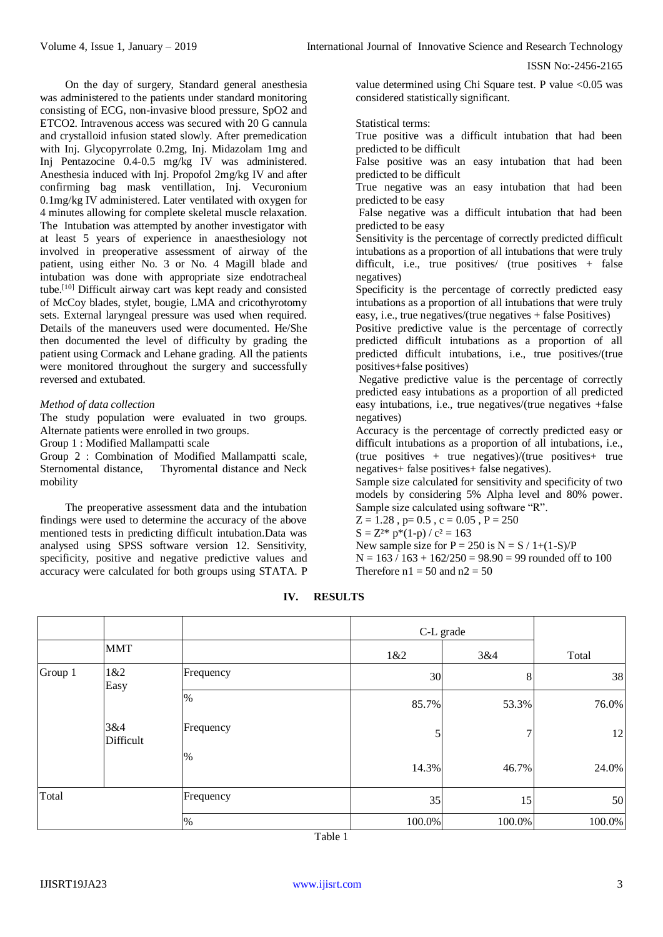ISSN No:-2456-2165

On the day of surgery, Standard general anesthesia was administered to the patients under standard monitoring consisting of ECG, non-invasive blood pressure, SpO2 and ETCO2. Intravenous access was secured with 20 G cannula and crystalloid infusion stated slowly. After premedication with Inj. Glycopyrrolate 0.2mg, Inj. Midazolam 1mg and Inj Pentazocine 0.4-0.5 mg/kg IV was administered. Anesthesia induced with Inj. Propofol 2mg/kg IV and after confirming bag mask ventillation, Inj. Vecuronium 0.1mg/kg IV administered. Later ventilated with oxygen for 4 minutes allowing for complete skeletal muscle relaxation. The Intubation was attempted by another investigator with at least 5 years of experience in anaesthesiology not involved in preoperative assessment of airway of the patient, using either No. 3 or No. 4 Magill blade and intubation was done with appropriate size endotracheal tube. [10] Difficult airway cart was kept ready and consisted of McCoy blades, stylet, bougie, LMA and cricothyrotomy sets. External laryngeal pressure was used when required. Details of the maneuvers used were documented. He/She then documented the level of difficulty by grading the patient using Cormack and Lehane grading. All the patients were monitored throughout the surgery and successfully reversed and extubated.

# *Method of data collection*

The study population were evaluated in two groups. Alternate patients were enrolled in two groups.

Group 1 : Modified Mallampatti scale

Group 2 : Combination of Modified Mallampatti scale, Sternomental distance, Thyromental distance and Neck mobility

The preoperative assessment data and the intubation findings were used to determine the accuracy of the above mentioned tests in predicting difficult intubation.Data was analysed using SPSS software version 12. Sensitivity, specificity, positive and negative predictive values and accuracy were calculated for both groups using STATA. P

value determined using Chi Square test. P value <0.05 was considered statistically significant.

#### Statistical terms:

True positive was a difficult intubation that had been predicted to be difficult

False positive was an easy intubation that had been predicted to be difficult

True negative was an easy intubation that had been predicted to be easy

False negative was a difficult intubation that had been predicted to be easy

Sensitivity is the percentage of correctly predicted difficult intubations as a proportion of all intubations that were truly difficult, i.e., true positives/ (true positives  $+$  false negatives)

Specificity is the percentage of correctly predicted easy intubations as a proportion of all intubations that were truly easy, i.e., true negatives/(true negatives + false Positives)

Positive predictive value is the percentage of correctly predicted difficult intubations as a proportion of all predicted difficult intubations, i.e., true positives/(true positives+false positives)

Negative predictive value is the percentage of correctly predicted easy intubations as a proportion of all predicted easy intubations, i.e., true negatives/(true negatives +false negatives)

Accuracy is the percentage of correctly predicted easy or difficult intubations as a proportion of all intubations, i.e., (true positives + true negatives)/(true positives+ true negatives+ false positives+ false negatives).

Sample size calculated for sensitivity and specificity of two models by considering 5% Alpha level and 80% power. Sample size calculated using software "R".

 $Z = 1.28$ ,  $p = 0.5$ ,  $c = 0.05$ ,  $P = 250$ 

$$
S = Z^{2*} p^*(1-p) / c^2 = 163
$$

New sample size for  $P = 250$  is  $N = S / 1 + (1-S)/P$  $N = 163 / 163 + 162/250 = 98.90 = 99$  rounded off to 100 Therefore  $n1 = 50$  and  $n2 = 50$ 

**IV. RESULTS**

|         |                  |           |        | C-L grade |        |
|---------|------------------|-----------|--------|-----------|--------|
|         | <b>MMT</b>       |           | 1&2    | 3&4       | Total  |
| Group 1 | 1&2<br>Easy      | Frequency | 30     | $\,8\,$   | 38     |
|         |                  | %         | 85.7%  | 53.3%     | 76.0%  |
|         | 3&4<br>Difficult | Frequency | 5      | 7         | 12     |
|         |                  | $\%$      | 14.3%  | 46.7%     | 24.0%  |
| Total   |                  | Frequency | 35     | 15        | 50     |
|         |                  | %         | 100.0% | 100.0%    | 100.0% |

Table 1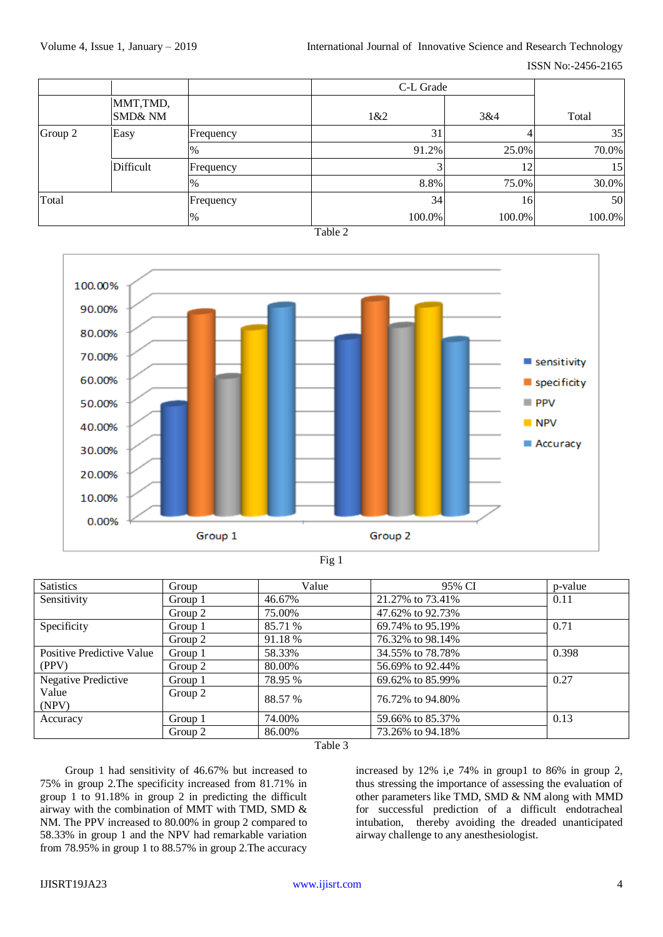|         |                                |           |               | C-L Grade |        |  |
|---------|--------------------------------|-----------|---------------|-----------|--------|--|
|         | MMT,TMD,<br><b>SMD&amp; NM</b> |           | 1&82          | 3&4       | Total  |  |
| Group 2 | Easy                           | Frequency | 31            | 4         | 35     |  |
|         |                                | $\%$      | 91.2%         | 25.0%     | 70.0%  |  |
|         | Difficult                      | Frequency |               | 12        | 15     |  |
|         |                                | $\%$      | 8.8%          | 75.0%     | 30.0%  |  |
| Total   |                                | Frequency | 34            | 16        | 50     |  |
|         |                                | %         | 100.0%<br>--- | 100.0%    | 100.0% |  |

Table 2



| ٧ |
|---|
|---|

| <b>Satistics</b>          | Group   | Value   | 95% CI           | p-value |  |
|---------------------------|---------|---------|------------------|---------|--|
| Sensitivity               | Group 1 | 46.67%  | 21.27% to 73.41% | 0.11    |  |
|                           | Group 2 | 75.00%  | 47.62% to 92.73% |         |  |
| Specificity               | Group 1 | 85.71 % | 69.74% to 95.19% | 0.71    |  |
|                           | Group 2 | 91.18 % | 76.32% to 98.14% |         |  |
| Positive Predictive Value | Group 1 | 58.33%  | 34.55% to 78.78% | 0.398   |  |
| (PPV)                     | Group 2 | 80.00%  | 56.69% to 92.44% |         |  |
| Negative Predictive       | Group 1 | 78.95 % | 69.62% to 85.99% | 0.27    |  |
| Value<br>(NPV)            | Group 2 | 88.57 % | 76.72% to 94.80% |         |  |
| Accuracy                  | Group 1 | 74.00%  | 59.66% to 85.37% | 0.13    |  |
|                           | Group 2 | 86.00%  | 73.26% to 94.18% |         |  |

Table 3

Group 1 had sensitivity of 46.67% but increased to 75% in group 2.The specificity increased from 81.71% in group 1 to 91.18% in group 2 in predicting the difficult airway with the combination of MMT with TMD, SMD & NM. The PPV increased to 80.00% in group 2 compared to 58.33% in group 1 and the NPV had remarkable variation from 78.95% in group 1 to 88.57% in group 2.The accuracy

increased by 12% i,e 74% in group1 to 86% in group 2, thus stressing the importance of assessing the evaluation of other parameters like TMD, SMD & NM along with MMD for successful prediction of a difficult endotracheal intubation, thereby avoiding the dreaded unanticipated airway challenge to any anesthesiologist.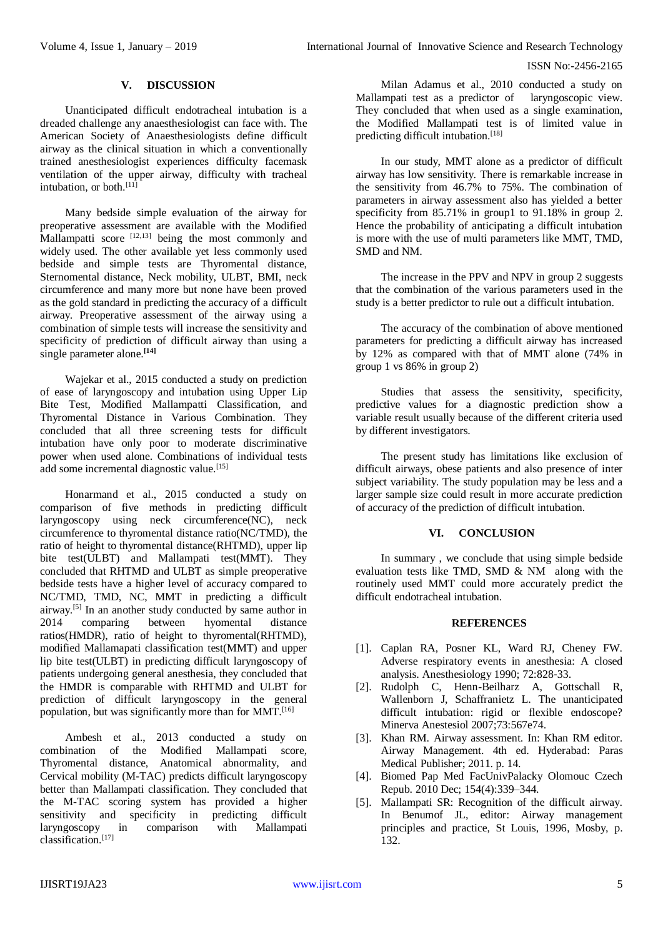ISSN No:-2456-2165

# **V. DISCUSSION**

Unanticipated difficult endotracheal intubation is a dreaded challenge any anaesthesiologist can face with. The American Society of Anaesthesiologists define difficult airway as the clinical situation in which a conventionally trained anesthesiologist experiences difficulty facemask ventilation of the upper airway, difficulty with tracheal intubation, or both.<sup>[11]</sup>

Many bedside simple evaluation of the airway for preoperative assessment are available with the Modified Mallampatti score  $[12,13]$  being the most commonly and widely used. The other available yet less commonly used bedside and simple tests are Thyromental distance, Sternomental distance, Neck mobility, ULBT, BMI, neck circumference and many more but none have been proved as the gold standard in predicting the accuracy of a difficult airway. Preoperative assessment of the airway using a combination of simple tests will increase the sensitivity and specificity of prediction of difficult airway than using a single parameter alone.**[14]**

Wajekar et al., 2015 conducted a study on prediction of ease of laryngoscopy and intubation using Upper Lip Bite Test, Modified Mallampatti Classification, and Thyromental Distance in Various Combination. They concluded that all three screening tests for difficult intubation have only poor to moderate discriminative power when used alone. Combinations of individual tests add some incremental diagnostic value.<sup>[15]</sup>

Honarmand et al., 2015 conducted a study on comparison of five methods in predicting difficult laryngoscopy using neck circumference(NC), neck circumference to thyromental distance ratio(NC/TMD), the ratio of height to thyromental distance(RHTMD), upper lip bite test(ULBT) and Mallampati test(MMT). They concluded that RHTMD and ULBT as simple preoperative bedside tests have a higher level of accuracy compared to NC/TMD, TMD, NC, MMT in predicting a difficult airway.[5] In an another study conducted by same author in 2014 comparing between hyomental distance ratios(HMDR), ratio of height to thyromental(RHTMD), modified Mallamapati classification test(MMT) and upper lip bite test(ULBT) in predicting difficult laryngoscopy of patients undergoing general anesthesia, they concluded that the HMDR is comparable with RHTMD and ULBT for prediction of difficult laryngoscopy in the general population, but was significantly more than for MMT.<sup>[16]</sup>

Ambesh et al., 2013 conducted a study on combination of the Modified Mallampati score, Thyromental distance, Anatomical abnormality, and Cervical mobility (M-TAC) predicts difficult laryngoscopy better than Mallampati classification. They concluded that the M-TAC scoring system has provided a higher sensitivity and specificity in predicting difficult laryngoscopy in comparison with Mallampati classification.[17]

Milan Adamus et al., 2010 conducted a study on Mallampati test as a predictor of laryngoscopic view. They concluded that when used as a single examination, the Modified Mallampati test is of limited value in predicting difficult intubation.[18]

In our study, MMT alone as a predictor of difficult airway has low sensitivity. There is remarkable increase in the sensitivity from 46.7% to 75%. The combination of parameters in airway assessment also has yielded a better specificity from 85.71% in group1 to 91.18% in group 2. Hence the probability of anticipating a difficult intubation is more with the use of multi parameters like MMT, TMD, SMD and NM.

The increase in the PPV and NPV in group 2 suggests that the combination of the various parameters used in the study is a better predictor to rule out a difficult intubation.

The accuracy of the combination of above mentioned parameters for predicting a difficult airway has increased by 12% as compared with that of MMT alone (74% in group 1 vs 86% in group 2)

Studies that assess the sensitivity, specificity, predictive values for a diagnostic prediction show a variable result usually because of the different criteria used by different investigators.

The present study has limitations like exclusion of difficult airways, obese patients and also presence of inter subject variability. The study population may be less and a larger sample size could result in more accurate prediction of accuracy of the prediction of difficult intubation.

# **VI. CONCLUSION**

In summary , we conclude that using simple bedside evaluation tests like TMD, SMD & NM along with the routinely used MMT could more accurately predict the difficult endotracheal intubation.

# **REFERENCES**

- [1]. Caplan RA, Posner KL, Ward RJ, Cheney FW. Adverse respiratory events in anesthesia: A closed analysis. Anesthesiology 1990; 72:828‑33.
- [2]. Rudolph C, Henn-Beilharz A, Gottschall R, Wallenborn J, Schaffranietz L. The unanticipated difficult intubation: rigid or flexible endoscope? Minerva Anestesiol 2007;73:567e74.
- [3]. Khan RM. Airway assessment. In: Khan RM editor. Airway Management. 4th ed. Hyderabad: Paras Medical Publisher; 2011. p. 14.
- [4]. Biomed Pap Med FacUnivPalacky Olomouc Czech Repub. 2010 Dec; 154(4):339–344.
- [5]. Mallampati SR: Recognition of the difficult airway. In Benumof JL, editor: Airway management principles and practice, St Louis, 1996, Mosby, p. 132.